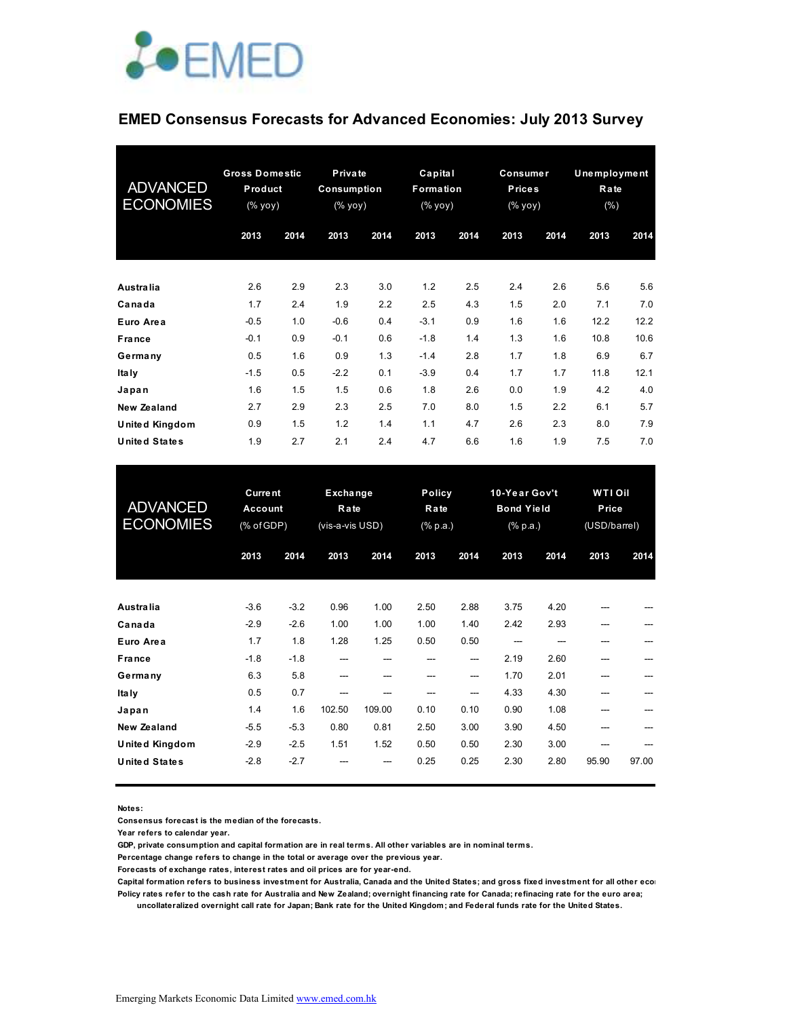

## **EMED Consensus Forecasts for Advanced Economies: July 2013 Survey**

| <b>ADVANCED</b><br><b>ECONOMIES</b> | <b>Gross Domestic</b><br><b>Product</b><br>(% |      | <b>Private</b><br>Consumption<br>$(% \mathbf{y}\mathbf{y})$ (% $\mathbf{y}\mathbf{0}\mathbf{y}$ ) |      | Capital<br>Formation<br>(% |      | Consumer<br><b>Prices</b><br>(% |      | <b>Unemployment</b><br>Rate<br>$(\% )$ |      |
|-------------------------------------|-----------------------------------------------|------|---------------------------------------------------------------------------------------------------|------|----------------------------|------|---------------------------------|------|----------------------------------------|------|
|                                     | 2013                                          | 2014 | 2013                                                                                              | 2014 | 2013                       | 2014 | 2013                            | 2014 | 2013                                   | 2014 |
| <b>Australia</b>                    | 2.6                                           | 2.9  | 2.3                                                                                               | 3.0  | 1.2                        | 2.5  | 2.4                             | 2.6  | 5.6                                    | 5.6  |
| Canada                              | 1.7                                           | 2.4  | 1.9                                                                                               | 2.2  | 2.5                        | 4.3  | 1.5                             | 2.0  | 7.1                                    | 7.0  |
| Euro Area                           | $-0.5$                                        | 1.0  | $-0.6$                                                                                            | 0.4  | $-3.1$                     | 0.9  | 1.6                             | 1.6  | 12.2                                   | 12.2 |
| <b>France</b>                       | $-0.1$                                        | 0.9  | $-0.1$                                                                                            | 0.6  | $-1.8$                     | 1.4  | 1.3                             | 1.6  | 10.8                                   | 10.6 |
| Germany                             | 0.5                                           | 1.6  | 0.9                                                                                               | 1.3  | $-1.4$                     | 2.8  | 1.7                             | 1.8  | 6.9                                    | 6.7  |
| Ita Iy                              | $-1.5$                                        | 0.5  | $-2.2$                                                                                            | 0.1  | $-3.9$                     | 0.4  | 1.7                             | 1.7  | 11.8                                   | 12.1 |
| Japan                               | 1.6                                           | 1.5  | 1.5                                                                                               | 0.6  | 1.8                        | 2.6  | 0.0                             | 1.9  | 4.2                                    | 4.0  |
| New Zealand                         | 2.7                                           | 2.9  | 2.3                                                                                               | 2.5  | 7.0                        | 8.0  | 1.5                             | 2.2  | 6.1                                    | 5.7  |
| United Kingdom                      | 0.9                                           | 1.5  | 1.2                                                                                               | 1.4  | 1.1                        | 4.7  | 2.6                             | 2.3  | 8.0                                    | 7.9  |
| <b>United States</b>                | 1.9                                           | 2.7  | 2.1                                                                                               | 2.4  | 4.7                        | 6.6  | 1.6                             | 1.9  | 7.5                                    | 7.0  |

| <b>ADVANCED</b><br><b>ECONOMIES</b> | <b>Current</b><br><b>Account</b><br>(% of GDP) |        | Exchange<br>Rate<br>(vis-a-vis USD) |        | Policy<br>Rate<br>$(% \mathbb{R}^2)$ (% p.a.) |      | 10-Year Gov't<br><b>Bond Yield</b><br>$(% \mathbb{R}^2)$ (% p.a.) |      | WTI Oil<br>Price<br>(USD/barrel) |       |
|-------------------------------------|------------------------------------------------|--------|-------------------------------------|--------|-----------------------------------------------|------|-------------------------------------------------------------------|------|----------------------------------|-------|
|                                     | 2013                                           | 2014   | 2013                                | 2014   | 2013                                          | 2014 | 2013                                                              | 2014 | 2013                             | 2014  |
| <b>Australia</b>                    | $-3.6$                                         | $-3.2$ | 0.96                                | 1.00   | 2.50                                          | 2.88 | 3.75                                                              | 4.20 |                                  |       |
| Canada                              | $-2.9$                                         | $-2.6$ | 1.00                                | 1.00   | 1.00                                          | 1.40 | 2.42                                                              | 2.93 | ---                              |       |
| Euro Area                           | 1.7                                            | 1.8    | 1.28                                | 1.25   | 0.50                                          | 0.50 |                                                                   |      | ---                              |       |
| France                              | $-1.8$                                         | $-1.8$ | ---                                 | ---    |                                               | ---  | 2.19                                                              | 2.60 | ---                              |       |
| Germany                             | 6.3                                            | 5.8    | ---                                 |        |                                               | ---  | 1.70                                                              | 2.01 |                                  |       |
| Ita Iy                              | 0.5                                            | 0.7    |                                     |        |                                               | ---  | 4.33                                                              | 4.30 |                                  |       |
| Japan                               | 1.4                                            | 1.6    | 102.50                              | 109.00 | 0.10                                          | 0.10 | 0.90                                                              | 1.08 | ---                              |       |
| <b>New Zealand</b>                  | $-5.5$                                         | $-5.3$ | 0.80                                | 0.81   | 2.50                                          | 3.00 | 3.90                                                              | 4.50 | ---                              |       |
| United Kingdom                      | $-2.9$                                         | $-2.5$ | 1.51                                | 1.52   | 0.50                                          | 0.50 | 2.30                                                              | 3.00 |                                  |       |
| <b>United States</b>                | $-2.8$                                         | $-2.7$ |                                     |        | 0.25                                          | 0.25 | 2.30                                                              | 2.80 | 95.90                            | 97.00 |

**Notes:** 

**Consensus forecast is the median of the forecasts.**

**Year refers to calendar year.**

**GDP, private consumption and capital formation are in real terms. All other variables are in nominal terms.**

**Percentage change refers to change in the total or average over the previous year.**

**Forecasts of exchange rates, interest rates and oil prices are for year-end.**

Capital formation refers to business investment for Australia, Canada and the United States; and gross fixed investment for all other ecor **Policy rates refer to the cash rate for Australia and New Zealand; overnight financing rate for Canada; refinacing rate for the euro area;** 

 **uncollateralized overnight call rate for Japan; Bank rate for the United Kingdom; and Federal funds rate for the United States.**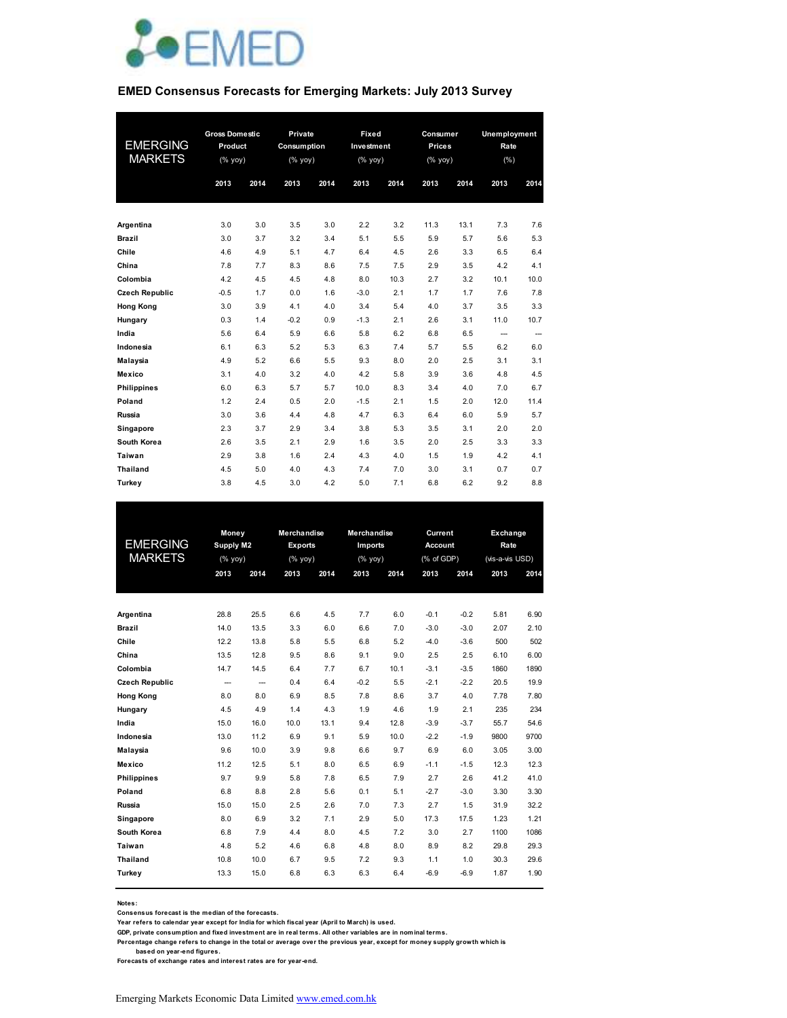

#### **EMED Consensus Forecasts for Emerging Markets: July 2013 Survey**

| <b>EMERGING</b><br><b>MARKETS</b> | <b>Gross Domestic</b><br>Product<br>(% yoy)<br>2013 | 2014 | Private<br>Consumption<br>$(%$ yoy)<br>2013 | 2014 | Fixed<br>Investment<br>(% yoy)<br>2013 | 2014 | Consumer<br>Prices<br>(% yoy)<br>2013 | 2014 | Unemployment<br>Rate<br>(% )<br>2013 | 2014 |
|-----------------------------------|-----------------------------------------------------|------|---------------------------------------------|------|----------------------------------------|------|---------------------------------------|------|--------------------------------------|------|
| Argentina                         | 3.0                                                 | 3.0  | 3.5                                         | 3.0  | 2.2                                    | 3.2  | 11.3                                  | 13.1 | 7.3                                  | 7.6  |
| <b>Brazil</b>                     | 3.0                                                 | 3.7  | 3.2                                         | 3.4  | 5.1                                    | 5.5  | 5.9                                   | 5.7  | 5.6                                  | 5.3  |
| Chile                             | 4.6                                                 | 4.9  | 5.1                                         | 4.7  | 6.4                                    | 4.5  | 2.6                                   | 3.3  | 6.5                                  | 6.4  |
| China                             | 7.8                                                 | 7.7  | 8.3                                         | 8.6  | 7.5                                    | 7.5  | 2.9                                   | 3.5  | 4.2                                  | 4.1  |
| Colombia                          | 4.2                                                 | 4.5  | 4.5                                         | 4.8  | 8.0                                    | 10.3 | 2.7                                   | 3.2  | 10.1                                 | 10.0 |
| <b>Czech Republic</b>             | $-0.5$                                              | 1.7  | 0.0                                         | 1.6  | $-3.0$                                 | 2.1  | 1.7                                   | 1.7  | 7.6                                  | 7.8  |
| <b>Hong Kong</b>                  | 3.0                                                 | 3.9  | 4.1                                         | 4.0  | 3.4                                    | 5.4  | 4.0                                   | 3.7  | 3.5                                  | 3.3  |
| Hungary                           | 0.3                                                 | 1.4  | $-0.2$                                      | 0.9  | $-1.3$                                 | 2.1  | 2.6                                   | 3.1  | 11.0                                 | 10.7 |
| India                             | 5.6                                                 | 6.4  | 5.9                                         | 6.6  | 5.8                                    | 6.2  | 6.8                                   | 6.5  | $\overline{\phantom{a}}$             | --   |
| Indonesia                         | 6.1                                                 | 6.3  | 5.2                                         | 5.3  | 6.3                                    | 7.4  | 5.7                                   | 5.5  | 6.2                                  | 6.0  |
| <b>Malaysia</b>                   | 4.9                                                 | 5.2  | 6.6                                         | 5.5  | 9.3                                    | 8.0  | 2.0                                   | 2.5  | 3.1                                  | 3.1  |
| Mexico                            | 3.1                                                 | 4.0  | 3.2                                         | 4.0  | 4.2                                    | 5.8  | 3.9                                   | 3.6  | 4.8                                  | 4.5  |
| <b>Philippines</b>                | 6.0                                                 | 6.3  | 5.7                                         | 5.7  | 10.0                                   | 8.3  | 3.4                                   | 4.0  | 7.0                                  | 6.7  |
| Poland                            | 1.2                                                 | 2.4  | 0.5                                         | 2.0  | $-1.5$                                 | 2.1  | 1.5                                   | 2.0  | 12.0                                 | 11.4 |
| Russia                            | 3.0                                                 | 3.6  | 4.4                                         | 4.8  | 4.7                                    | 6.3  | 6.4                                   | 6.0  | 5.9                                  | 5.7  |
| Singapore                         | 2.3                                                 | 3.7  | 2.9                                         | 3.4  | 3.8                                    | 5.3  | 3.5                                   | 3.1  | 2.0                                  | 2.0  |
| South Korea                       | 2.6                                                 | 3.5  | 2.1                                         | 2.9  | 1.6                                    | 3.5  | 2.0                                   | 2.5  | 3.3                                  | 3.3  |
| Taiwan                            | 2.9                                                 | 3.8  | 1.6                                         | 2.4  | 4.3                                    | 4.0  | 1.5                                   | 1.9  | 4.2                                  | 4.1  |
| <b>Thailand</b>                   | 4.5                                                 | 5.0  | 4.0                                         | 4.3  | 7.4                                    | 7.0  | 3.0                                   | 3.1  | 0.7                                  | 0.7  |
| Turkey                            | 3.8                                                 | 4.5  | 3.0                                         | 4.2  | 5.0                                    | 7.1  | 6.8                                   | 6.2  | 9.2                                  | 8.8  |

|                       |                | Money                    |                | Merchandise | <b>Merchandise</b> |      | Current        |        | Exchange        |      |
|-----------------------|----------------|--------------------------|----------------|-------------|--------------------|------|----------------|--------|-----------------|------|
| <b>EMERGING</b>       | Supply M2      |                          | <b>Exports</b> |             | Imports            |      | <b>Account</b> |        | Rate            |      |
| <b>MARKETS</b>        | $(%$ (% yoy)   |                          | (%             |             | (%                 |      | (% of GDP)     |        | (vis-a-vis USD) |      |
|                       | 2013           | 2014                     | 2013           | 2014        | 2013               | 2014 | 2013           | 2014   | 2013            | 2014 |
|                       |                |                          |                |             |                    |      |                |        |                 |      |
|                       |                |                          |                |             |                    |      |                |        |                 |      |
| Argentina             | 28.8           | 25.5                     | 6.6            | 4.5         | 7.7                | 6.0  | $-0.1$         | $-0.2$ | 5.81            | 6.90 |
| <b>Brazil</b>         | 14.0           | 13.5                     | 3.3            | 6.0         | 6.6                | 7.0  | $-3.0$         | $-3.0$ | 2.07            | 2.10 |
| Chile                 | 12.2           | 13.8                     | 5.8            | 5.5         | 6.8                | 5.2  | $-4.0$         | $-3.6$ | 500             | 502  |
| China                 | 13.5           | 12.8                     | 9.5            | 8.6         | 9.1                | 9.0  | 2.5            | 2.5    | 6.10            | 6.00 |
| Colombia              | 14.7           | 14.5                     | 6.4            | 7.7         | 6.7                | 10.1 | $-3.1$         | $-3.5$ | 1860            | 1890 |
| <b>Czech Republic</b> | $\overline{a}$ | $\overline{\phantom{a}}$ | 0.4            | 6.4         | $-0.2$             | 5.5  | $-2.1$         | $-2.2$ | 20.5            | 19.9 |
| <b>Hong Kong</b>      | 8.0            | 8.0                      | 6.9            | 8.5         | 7.8                | 8.6  | 3.7            | 4.0    | 7.78            | 7.80 |
| Hungary               | 4.5            | 4.9                      | 1.4            | 4.3         | 1.9                | 4.6  | 1.9            | 2.1    | 235             | 234  |
| India                 | 15.0           | 16.0                     | 10.0           | 13.1        | 9.4                | 12.8 | $-3.9$         | $-3.7$ | 55.7            | 54.6 |
| Indonesia             | 13.0           | 11.2                     | 6.9            | 9.1         | 5.9                | 10.0 | $-2.2$         | $-1.9$ | 9800            | 9700 |
| Malaysia              | 9.6            | 10.0                     | 3.9            | 9.8         | 6.6                | 9.7  | 6.9            | 6.0    | 3.05            | 3.00 |
| Mexico                | 11.2           | 12.5                     | 5.1            | 8.0         | 6.5                | 6.9  | $-1.1$         | $-1.5$ | 12.3            | 12.3 |
| <b>Philippines</b>    | 9.7            | 9.9                      | 5.8            | 7.8         | 6.5                | 7.9  | 2.7            | 2.6    | 41.2            | 41.0 |
| Poland                | 6.8            | 8.8                      | 2.8            | 5.6         | 0.1                | 5.1  | $-2.7$         | $-3.0$ | 3.30            | 3.30 |
| Russia                | 15.0           | 15.0                     | 2.5            | 2.6         | 7.0                | 7.3  | 2.7            | 1.5    | 31.9            | 32.2 |
| Singapore             | 8.0            | 6.9                      | 3.2            | 7.1         | 2.9                | 5.0  | 17.3           | 17.5   | 1.23            | 1.21 |
| South Korea           | 6.8            | 7.9                      | 4.4            | 8.0         | 4.5                | 7.2  | 3.0            | 2.7    | 1100            | 1086 |
| Taiwan                | 4.8            | 5.2                      | 4.6            | 6.8         | 4.8                | 8.0  | 8.9            | 8.2    | 29.8            | 29.3 |
| <b>Thailand</b>       | 10.8           | 10.0                     | 6.7            | 9.5         | 7.2                | 9.3  | 1.1            | 1.0    | 30.3            | 29.6 |
| <b>Turkey</b>         | 13.3           | 15.0                     | 6.8            | 6.3         | 6.3                | 6.4  | $-6.9$         | $-6.9$ | 1.87            | 1.90 |
|                       |                |                          |                |             |                    |      |                |        |                 |      |

**Notes:** 

**Consensus forecast is the median of the forecasts. Year refers to calendar year except for India for which fiscal year (April to March) is used.**

**GDP, private consumption and fixed investment are in real terms. All other variables are in nominal terms.**

**Percentage change refers to change in the total or average over the previous year, except for money supply growth which is** 

 **based on year-end figures.**

**Forecasts of exchange rates and interest rates are for year-end.**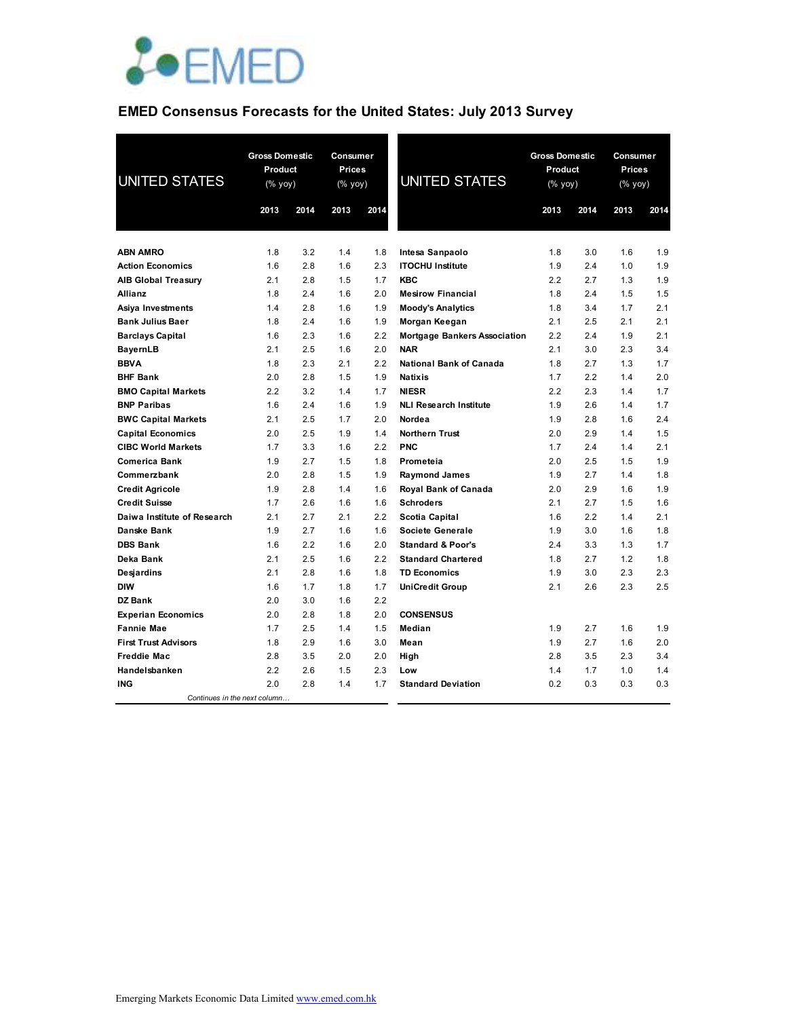

## **EMED Consensus Forecasts for the United States: July 2013 Survey**

| <b>UNITED STATES</b>         | <b>Gross Domestic</b><br>Product<br>$(% \mathsf{Y}\rightarrow \mathsf{Y})$ |      | Consumer<br><b>Prices</b><br>(% yoy) |      | <b>UNITED STATES</b>                |      | <b>Gross Domestic</b><br>Product<br>(% yoy) |      | Consumer<br><b>Prices</b><br>(% yoy) |  |
|------------------------------|----------------------------------------------------------------------------|------|--------------------------------------|------|-------------------------------------|------|---------------------------------------------|------|--------------------------------------|--|
|                              | 2013                                                                       | 2014 | 2013                                 | 2014 |                                     | 2013 | 2014                                        | 2013 | 2014                                 |  |
|                              |                                                                            |      |                                      |      |                                     |      |                                             |      |                                      |  |
| <b>ABN AMRO</b>              | 1.8                                                                        | 3.2  | 1.4                                  | 1.8  | Intesa Sanpaolo                     | 1.8  | 3.0                                         | 1.6  | 1.9                                  |  |
| <b>Action Economics</b>      | 1.6                                                                        | 2.8  | 1.6                                  | 2.3  | <b>ITOCHU Institute</b>             | 1.9  | 2.4                                         | 1.0  | 1.9                                  |  |
| <b>AIB Global Treasury</b>   | 2.1                                                                        | 2.8  | 1.5                                  | 1.7  | <b>KBC</b>                          | 2.2  | 2.7                                         | 1.3  | 1.9                                  |  |
| Allianz                      | 1.8                                                                        | 2.4  | 1.6                                  | 2.0  | <b>Mesirow Financial</b>            | 1.8  | 2.4                                         | 1.5  | 1.5                                  |  |
| Asiya Investments            | 1.4                                                                        | 2.8  | 1.6                                  | 1.9  | <b>Moody's Analytics</b>            | 1.8  | 3.4                                         | 1.7  | 2.1                                  |  |
| <b>Bank Julius Baer</b>      | 1.8                                                                        | 2.4  | 1.6                                  | 1.9  | Morgan Keegan                       | 2.1  | 2.5                                         | 2.1  | 2.1                                  |  |
| <b>Barclays Capital</b>      | 1.6                                                                        | 2.3  | 1.6                                  | 2.2  | <b>Mortgage Bankers Association</b> | 2.2  | 2.4                                         | 1.9  | 2.1                                  |  |
| <b>BayernLB</b>              | 2.1                                                                        | 2.5  | 1.6                                  | 2.0  | <b>NAR</b>                          | 2.1  | 3.0                                         | 2.3  | 3.4                                  |  |
| <b>BBVA</b>                  | 1.8                                                                        | 2.3  | 2.1                                  | 2.2  | <b>National Bank of Canada</b>      | 1.8  | 2.7                                         | 1.3  | 1.7                                  |  |
| <b>BHF Bank</b>              | 2.0                                                                        | 2.8  | 1.5                                  | 1.9  | <b>Natixis</b>                      | 1.7  | 2.2                                         | 1.4  | 2.0                                  |  |
| <b>BMO Capital Markets</b>   | 2.2                                                                        | 3.2  | 1.4                                  | 1.7  | <b>NIESR</b>                        | 2.2  | 2.3                                         | 1.4  | 1.7                                  |  |
| <b>BNP Paribas</b>           | 1.6                                                                        | 2.4  | 1.6                                  | 1.9  | <b>NLI Research Institute</b>       | 1.9  | 2.6                                         | 1.4  | 1.7                                  |  |
| <b>BWC Capital Markets</b>   | 2.1                                                                        | 2.5  | 1.7                                  | 2.0  | Nordea                              | 1.9  | 2.8                                         | 1.6  | 2.4                                  |  |
| <b>Capital Economics</b>     | 2.0                                                                        | 2.5  | 1.9                                  | 1.4  | <b>Northern Trust</b>               | 2.0  | 2.9                                         | 1.4  | 1.5                                  |  |
| <b>CIBC World Markets</b>    | 1.7                                                                        | 3.3  | 1.6                                  | 2.2  | <b>PNC</b>                          | 1.7  | 2.4                                         | 1.4  | 2.1                                  |  |
| <b>Comerica Bank</b>         | 1.9                                                                        | 2.7  | 1.5                                  | 1.8  | Prometeia                           | 2.0  | 2.5                                         | 1.5  | 1.9                                  |  |
| Commerzbank                  | 2.0                                                                        | 2.8  | 1.5                                  | 1.9  | <b>Raymond James</b>                | 1.9  | 2.7                                         | 1.4  | 1.8                                  |  |
| <b>Credit Agricole</b>       | 1.9                                                                        | 2.8  | 1.4                                  | 1.6  | Royal Bank of Canada                | 2.0  | 2.9                                         | 1.6  | 1.9                                  |  |
| <b>Credit Suisse</b>         | 1.7                                                                        | 2.6  | 1.6                                  | 1.6  | <b>Schroders</b>                    | 2.1  | 2.7                                         | 1.5  | 1.6                                  |  |
| Daiwa Institute of Research  | 2.1                                                                        | 2.7  | 2.1                                  | 2.2  | Scotia Capital                      | 1.6  | 2.2                                         | 1.4  | 2.1                                  |  |
| <b>Danske Bank</b>           | 1.9                                                                        | 2.7  | 1.6                                  | 1.6  | Societe Generale                    | 1.9  | 3.0                                         | 1.6  | 1.8                                  |  |
| <b>DBS Bank</b>              | 1.6                                                                        | 2.2  | 1.6                                  | 2.0  | <b>Standard &amp; Poor's</b>        | 2.4  | 3.3                                         | 1.3  | 1.7                                  |  |
| Deka Bank                    | 2.1                                                                        | 2.5  | 1.6                                  | 2.2  | <b>Standard Chartered</b>           | 1.8  | 2.7                                         | 1.2  | 1.8                                  |  |
| Desjardins                   | 2.1                                                                        | 2.8  | 1.6                                  | 1.8  | <b>TD Economics</b>                 | 1.9  | 3.0                                         | 2.3  | 2.3                                  |  |
| <b>DIW</b>                   | 1.6                                                                        | 1.7  | 1.8                                  | 1.7  | UniCredit Group                     | 2.1  | 2.6                                         | 2.3  | 2.5                                  |  |
| <b>DZ Bank</b>               | 2.0                                                                        | 3.0  | 1.6                                  | 2.2  |                                     |      |                                             |      |                                      |  |
| <b>Experian Economics</b>    | 2.0                                                                        | 2.8  | 1.8                                  | 2.0  | <b>CONSENSUS</b>                    |      |                                             |      |                                      |  |
| <b>Fannie Mae</b>            | 1.7                                                                        | 2.5  | 1.4                                  | 1.5  | Median                              | 1.9  | 2.7                                         | 1.6  | 1.9                                  |  |
| <b>First Trust Advisors</b>  | 1.8                                                                        | 2.9  | 1.6                                  | 3.0  | Mean                                | 1.9  | 2.7                                         | 1.6  | 2.0                                  |  |
| <b>Freddie Mac</b>           | 2.8                                                                        | 3.5  | 2.0                                  | 2.0  | High                                | 2.8  | 3.5                                         | 2.3  | 3.4                                  |  |
| Handelsbanken                | 2.2                                                                        | 2.6  | 1.5                                  | 2.3  | Low                                 | 1.4  | 1.7                                         | 1.0  | 1.4                                  |  |
| <b>ING</b>                   | 2.0                                                                        | 2.8  | 1.4                                  | 1.7  | <b>Standard Deviation</b>           | 0.2  | 0.3                                         | 0.3  | 0.3                                  |  |
| Continues in the next column |                                                                            |      |                                      |      |                                     |      |                                             |      |                                      |  |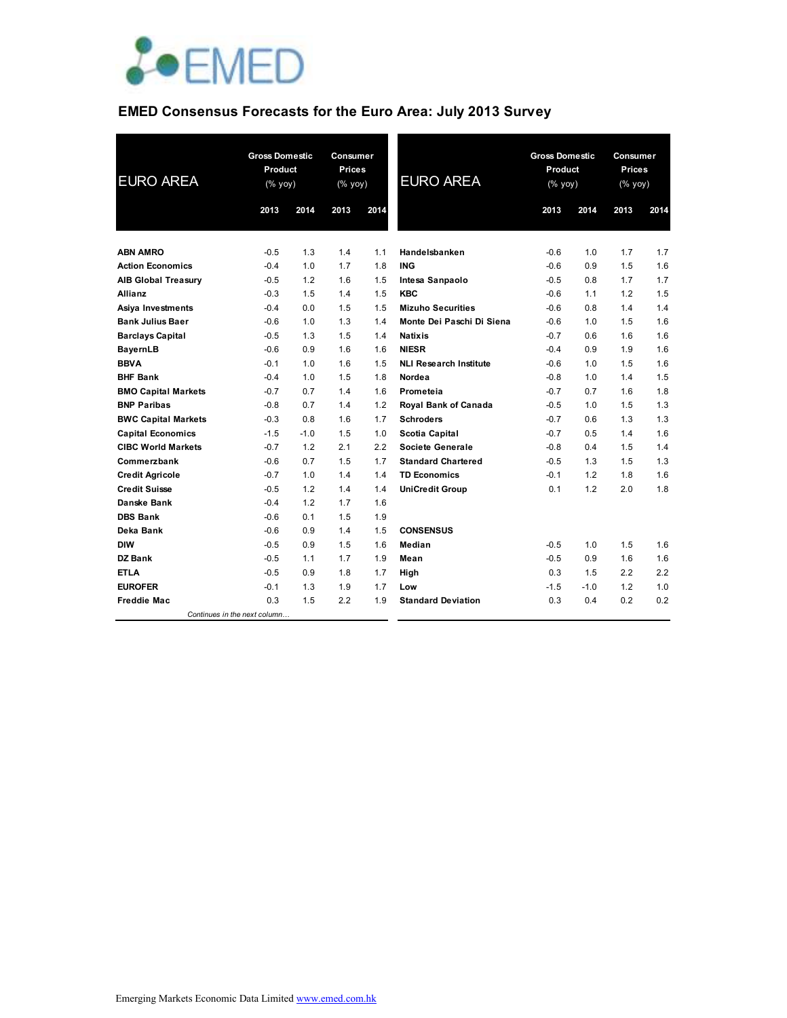

## **EMED Consensus Forecasts for the Euro Area: July 2013 Survey**

| <b>EURO AREA</b>           |                              | <b>Gross Domestic</b><br>Product<br>(% yoy) |      | Consumer<br><b>Prices</b><br>$(% \mathsf{Y}^{\prime }\mathsf{Y}^{\prime }\mathsf{Y}^{\prime })$ | <b>EURO AREA</b>              | <b>Gross Domestic</b><br>Product<br>(% yoy) |        | Consumer<br><b>Prices</b><br>(% yoy) |      |
|----------------------------|------------------------------|---------------------------------------------|------|-------------------------------------------------------------------------------------------------|-------------------------------|---------------------------------------------|--------|--------------------------------------|------|
|                            | 2013                         | 2014                                        | 2013 | 2014                                                                                            |                               | 2013                                        | 2014   | 2013                                 | 2014 |
|                            |                              |                                             |      |                                                                                                 |                               |                                             |        |                                      |      |
| <b>ABN AMRO</b>            | $-0.5$                       | 1.3                                         | 1.4  | 1.1                                                                                             | Handelsbanken                 | $-0.6$                                      | 1.0    | 1.7                                  | 1.7  |
| <b>Action Economics</b>    | $-0.4$                       | 1.0                                         | 1.7  | 1.8                                                                                             | <b>ING</b>                    | $-0.6$                                      | 0.9    | 1.5                                  | 1.6  |
| <b>AIB Global Treasury</b> | $-0.5$                       | 1.2                                         | 1.6  | 1.5                                                                                             | Intesa Sanpaolo               | $-0.5$                                      | 0.8    | 1.7                                  | 1.7  |
| Allianz                    | $-0.3$                       | 1.5                                         | 1.4  | 1.5                                                                                             | <b>KBC</b>                    | $-0.6$                                      | 1.1    | 1.2                                  | 1.5  |
| Asiya Investments          | $-0.4$                       | 0.0                                         | 1.5  | 1.5                                                                                             | <b>Mizuho Securities</b>      | $-0.6$                                      | 0.8    | 1.4                                  | 1.4  |
| <b>Bank Julius Baer</b>    | $-0.6$                       | 1.0                                         | 1.3  | 1.4                                                                                             | Monte Dei Paschi Di Siena     | $-0.6$                                      | 1.0    | 1.5                                  | 1.6  |
| <b>Barclays Capital</b>    | $-0.5$                       | 1.3                                         | 1.5  | 1.4                                                                                             | <b>Natixis</b>                | $-0.7$                                      | 0.6    | 1.6                                  | 1.6  |
| <b>BayernLB</b>            | $-0.6$                       | 0.9                                         | 1.6  | 1.6                                                                                             | <b>NIESR</b>                  | $-0.4$                                      | 0.9    | 1.9                                  | 1.6  |
| <b>BBVA</b>                | $-0.1$                       | 1.0                                         | 1.6  | 1.5                                                                                             | <b>NLI Research Institute</b> | $-0.6$                                      | 1.0    | 1.5                                  | 1.6  |
| <b>BHF Bank</b>            | $-0.4$                       | 1.0                                         | 1.5  | 1.8                                                                                             | Nordea                        | $-0.8$                                      | 1.0    | 1.4                                  | 1.5  |
| <b>BMO Capital Markets</b> | $-0.7$                       | 0.7                                         | 1.4  | 1.6                                                                                             | Prometeia                     | $-0.7$                                      | 0.7    | 1.6                                  | 1.8  |
| <b>BNP Paribas</b>         | $-0.8$                       | 0.7                                         | 1.4  | 1.2                                                                                             | Royal Bank of Canada          | $-0.5$                                      | 1.0    | 1.5                                  | 1.3  |
| <b>BWC Capital Markets</b> | $-0.3$                       | 0.8                                         | 1.6  | 1.7                                                                                             | <b>Schroders</b>              | $-0.7$                                      | 0.6    | 1.3                                  | 1.3  |
| <b>Capital Economics</b>   | $-1.5$                       | $-1.0$                                      | 1.5  | 1.0                                                                                             | <b>Scotia Capital</b>         | $-0.7$                                      | 0.5    | 1.4                                  | 1.6  |
| <b>CIBC World Markets</b>  | $-0.7$                       | 1.2                                         | 2.1  | $2.2\,$                                                                                         | Societe Generale              | $-0.8$                                      | 0.4    | 1.5                                  | 1.4  |
| Commerzbank                | $-0.6$                       | 0.7                                         | 1.5  | 1.7                                                                                             | <b>Standard Chartered</b>     | $-0.5$                                      | 1.3    | 1.5                                  | 1.3  |
| <b>Credit Agricole</b>     | $-0.7$                       | 1.0                                         | 1.4  | 1.4                                                                                             | <b>TD Economics</b>           | $-0.1$                                      | 1.2    | 1.8                                  | 1.6  |
| <b>Credit Suisse</b>       | $-0.5$                       | 1.2                                         | 1.4  | 1.4                                                                                             | <b>UniCredit Group</b>        | 0.1                                         | 1.2    | 2.0                                  | 1.8  |
| Danske Bank                | $-0.4$                       | 1.2                                         | 1.7  | 1.6                                                                                             |                               |                                             |        |                                      |      |
| <b>DBS Bank</b>            | $-0.6$                       | 0.1                                         | 1.5  | 1.9                                                                                             |                               |                                             |        |                                      |      |
| Deka Bank                  | $-0.6$                       | 0.9                                         | 1.4  | 1.5                                                                                             | <b>CONSENSUS</b>              |                                             |        |                                      |      |
| <b>DIW</b>                 | $-0.5$                       | 0.9                                         | 1.5  | 1.6                                                                                             | Median                        | $-0.5$                                      | 1.0    | 1.5                                  | 1.6  |
| DZ Bank                    | $-0.5$                       | 1.1                                         | 1.7  | 1.9                                                                                             | Mean                          | $-0.5$                                      | 0.9    | 1.6                                  | 1.6  |
| <b>ETLA</b>                | $-0.5$                       | 0.9                                         | 1.8  | 1.7                                                                                             | High                          | 0.3                                         | 1.5    | 2.2                                  | 2.2  |
| <b>EUROFER</b>             | $-0.1$                       | 1.3                                         | 1.9  | 1.7                                                                                             | Low                           | $-1.5$                                      | $-1.0$ | 1.2                                  | 1.0  |
| <b>Freddie Mac</b>         | 0.3                          | 1.5                                         | 2.2  | 1.9                                                                                             | <b>Standard Deviation</b>     | 0.3                                         | 0.4    | 0.2                                  | 0.2  |
|                            | Continues in the next column |                                             |      |                                                                                                 |                               |                                             |        |                                      |      |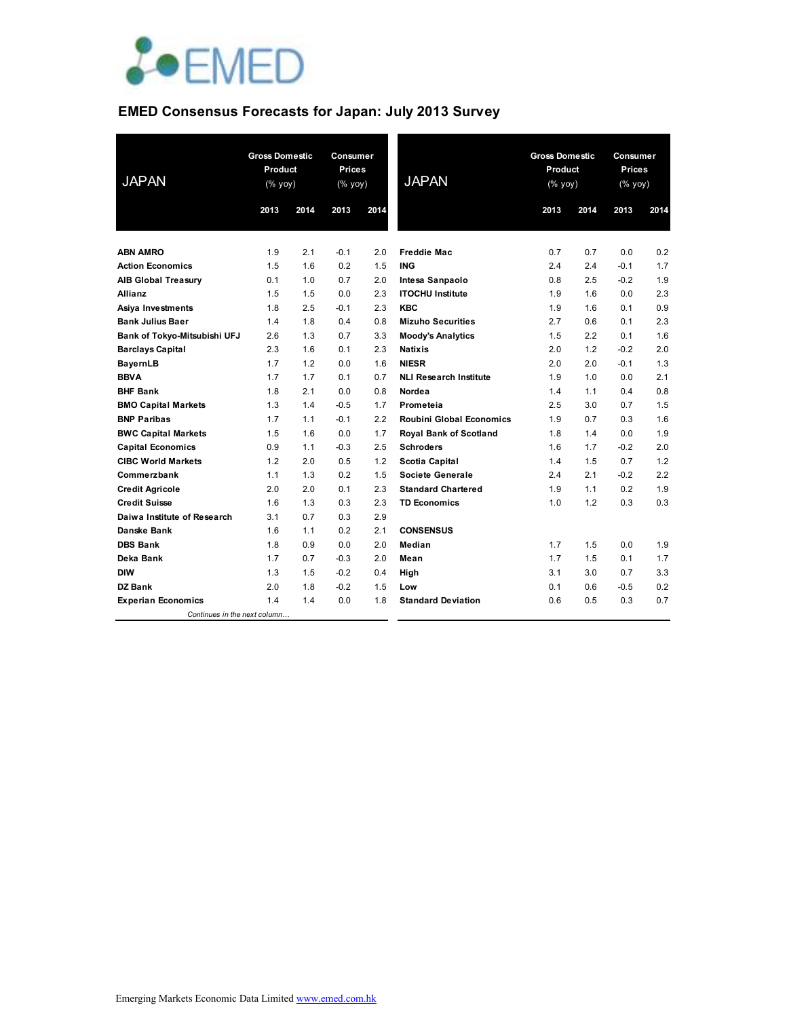

# **EMED Consensus Forecasts for Japan: July 2013 Survey**

| <b>JAPAN</b>                 | <b>Gross Domestic</b><br>Product<br>$(% \mathsf{Y}^{\prime }\mathsf{Y}^{\prime }\mathsf{Y}^{\prime })$ |      | Consumer<br><b>Prices</b><br>$(% \mathsf{Y}^{\prime }\mathsf{Y}^{\prime }\mathsf{Y}^{\prime })$ |      | <b>JAPAN</b>                  | <b>Gross Domestic</b><br>Product<br>(% yoy) |                  | Consumer<br><b>Prices</b><br>(% yoy) |      |
|------------------------------|--------------------------------------------------------------------------------------------------------|------|-------------------------------------------------------------------------------------------------|------|-------------------------------|---------------------------------------------|------------------|--------------------------------------|------|
|                              | 2013                                                                                                   | 2014 | 2013                                                                                            | 2014 |                               | 2013                                        | 2014             | 2013                                 | 2014 |
|                              |                                                                                                        |      |                                                                                                 |      |                               |                                             |                  |                                      |      |
| <b>ABN AMRO</b>              | 1.9                                                                                                    | 2.1  | $-0.1$                                                                                          | 2.0  | <b>Freddie Mac</b>            | 0.7                                         | 0.7              | 0.0                                  | 0.2  |
| <b>Action Economics</b>      | 1.5                                                                                                    | 1.6  | 0.2                                                                                             | 1.5  | <b>ING</b>                    | 2.4                                         | 2.4              | $-0.1$                               | 1.7  |
| <b>AIB Global Treasury</b>   | 0.1                                                                                                    | 1.0  | 0.7                                                                                             | 2.0  | Intesa Sanpaolo               | 0.8                                         | 2.5              | $-0.2$                               | 1.9  |
| Allianz                      | 1.5                                                                                                    | 1.5  | 0.0                                                                                             | 2.3  | <b>ITOCHU Institute</b>       | 1.9                                         | 1.6              | 0.0                                  | 2.3  |
| Asiya Investments            | 1.8                                                                                                    | 2.5  | $-0.1$                                                                                          | 2.3  | <b>KBC</b>                    | 1.9                                         | 1.6              | 0.1                                  | 0.9  |
| <b>Bank Julius Baer</b>      | 1.4                                                                                                    | 1.8  | 0.4                                                                                             | 0.8  | <b>Mizuho Securities</b>      | 2.7                                         | 0.6              | 0.1                                  | 2.3  |
| Bank of Tokyo-Mitsubishi UFJ | 2.6                                                                                                    | 1.3  | 0.7                                                                                             | 3.3  | <b>Moody's Analytics</b>      | 1.5                                         | $2.2\phantom{0}$ | 0.1                                  | 1.6  |
| <b>Barclays Capital</b>      | 2.3                                                                                                    | 1.6  | 0.1                                                                                             | 2.3  | <b>Natixis</b>                | 2.0                                         | 1.2              | $-0.2$                               | 2.0  |
| <b>BayernLB</b>              | 1.7                                                                                                    | 1.2  | 0.0                                                                                             | 1.6  | <b>NIESR</b>                  | 2.0                                         | 2.0              | $-0.1$                               | 1.3  |
| <b>BBVA</b>                  | 1.7                                                                                                    | 1.7  | 0.1                                                                                             | 0.7  | <b>NLI Research Institute</b> | 1.9                                         | 1.0              | 0.0                                  | 2.1  |
| <b>BHF Bank</b>              | 1.8                                                                                                    | 2.1  | 0.0                                                                                             | 0.8  | Nordea                        | 1.4                                         | 1.1              | 0.4                                  | 0.8  |
| <b>BMO Capital Markets</b>   | 1.3                                                                                                    | 1.4  | $-0.5$                                                                                          | 1.7  | Prometeia                     | 2.5                                         | 3.0              | 0.7                                  | 1.5  |
| <b>BNP Paribas</b>           | 1.7                                                                                                    | 1.1  | $-0.1$                                                                                          | 2.2  | Roubini Global Economics      | 1.9                                         | 0.7              | 0.3                                  | 1.6  |
| <b>BWC Capital Markets</b>   | 1.5                                                                                                    | 1.6  | 0.0                                                                                             | 1.7  | Royal Bank of Scotland        | 1.8                                         | 1.4              | 0.0                                  | 1.9  |
| <b>Capital Economics</b>     | 0.9                                                                                                    | 1.1  | $-0.3$                                                                                          | 2.5  | <b>Schroders</b>              | 1.6                                         | 1.7              | $-0.2$                               | 2.0  |
| <b>CIBC World Markets</b>    | 1.2                                                                                                    | 2.0  | 0.5                                                                                             | 1.2  | <b>Scotia Capital</b>         | 1.4                                         | 1.5              | 0.7                                  | 1.2  |
| Commerzbank                  | 1.1                                                                                                    | 1.3  | 0.2                                                                                             | 1.5  | Societe Generale              | 2.4                                         | 2.1              | $-0.2$                               | 2.2  |
| <b>Credit Agricole</b>       | 2.0                                                                                                    | 2.0  | 0.1                                                                                             | 2.3  | <b>Standard Chartered</b>     | 1.9                                         | 1.1              | 0.2                                  | 1.9  |
| <b>Credit Suisse</b>         | 1.6                                                                                                    | 1.3  | 0.3                                                                                             | 2.3  | <b>TD Economics</b>           | 1.0                                         | 1.2              | 0.3                                  | 0.3  |
| Daiwa Institute of Research  | 3.1                                                                                                    | 0.7  | 0.3                                                                                             | 2.9  |                               |                                             |                  |                                      |      |
| Danske Bank                  | 1.6                                                                                                    | 1.1  | 0.2                                                                                             | 2.1  | <b>CONSENSUS</b>              |                                             |                  |                                      |      |
| <b>DBS Bank</b>              | 1.8                                                                                                    | 0.9  | 0.0                                                                                             | 2.0  | Median                        | 1.7                                         | 1.5              | 0.0                                  | 1.9  |
| Deka Bank                    | 1.7                                                                                                    | 0.7  | $-0.3$                                                                                          | 2.0  | Mean                          | 1.7                                         | 1.5              | 0.1                                  | 1.7  |
| <b>DIW</b>                   | 1.3                                                                                                    | 1.5  | $-0.2$                                                                                          | 0.4  | High                          | 3.1                                         | 3.0              | 0.7                                  | 3.3  |
| DZ Bank                      | 2.0                                                                                                    | 1.8  | $-0.2$                                                                                          | 1.5  | Low                           | 0.1                                         | 0.6              | $-0.5$                               | 0.2  |
| <b>Experian Economics</b>    | 1.4                                                                                                    | 1.4  | 0.0                                                                                             | 1.8  | <b>Standard Deviation</b>     | 0.6                                         | 0.5              | 0.3                                  | 0.7  |
| Continues in the next column |                                                                                                        |      |                                                                                                 |      |                               |                                             |                  |                                      |      |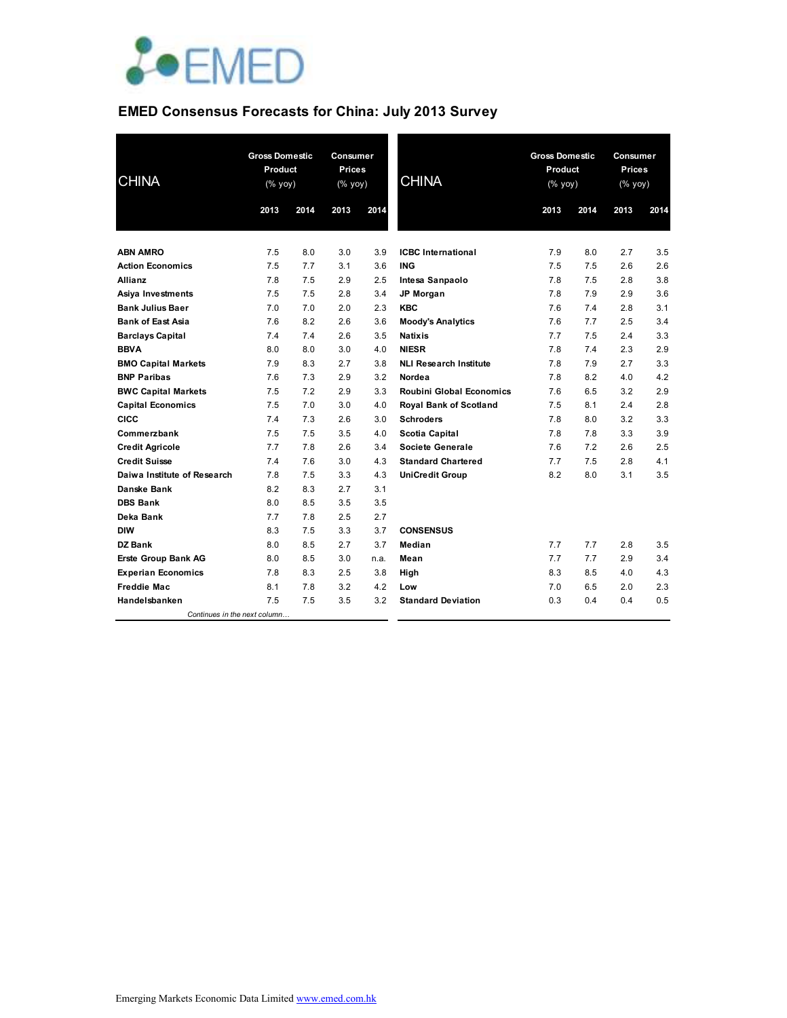

# **EMED Consensus Forecasts for China: July 2013 Survey**

| <b>CHINA</b>                 | <b>Gross Domestic</b><br>Product<br>$(\sqrt{6}$ yoy) |      | Consumer<br><b>Prices</b><br>$(\sqrt{6}$ yoy) |      | <b>CHINA</b>                    | <b>Gross Domestic</b><br>Product<br>(% yoy) |      | Consumer<br><b>Prices</b><br>(% yoy) |      |
|------------------------------|------------------------------------------------------|------|-----------------------------------------------|------|---------------------------------|---------------------------------------------|------|--------------------------------------|------|
|                              | 2013                                                 | 2014 | 2013                                          | 2014 |                                 | 2013                                        | 2014 | 2013                                 | 2014 |
|                              |                                                      |      |                                               |      |                                 |                                             |      |                                      |      |
| <b>ABN AMRO</b>              | 7.5                                                  | 8.0  | 3.0                                           | 3.9  | <b>ICBC</b> International       | 7.9                                         | 8.0  | 2.7                                  | 3.5  |
| <b>Action Economics</b>      | 7.5                                                  | 7.7  | 3.1                                           | 3.6  | <b>ING</b>                      | 7.5                                         | 7.5  | 2.6                                  | 2.6  |
| <b>Allianz</b>               | 7.8                                                  | 7.5  | 2.9                                           | 2.5  | Intesa Sanpaolo                 | 7.8                                         | 7.5  | 2.8                                  | 3.8  |
| Asiya Investments            | 7.5                                                  | 7.5  | 2.8                                           | 3.4  | JP Morgan                       | 7.8                                         | 7.9  | 2.9                                  | 3.6  |
| <b>Bank Julius Baer</b>      | 7.0                                                  | 7.0  | 2.0                                           | 2.3  | <b>KBC</b>                      | 7.6                                         | 7.4  | 2.8                                  | 3.1  |
| <b>Bank of East Asia</b>     | 7.6                                                  | 8.2  | 2.6                                           | 3.6  | <b>Moody's Analytics</b>        | 7.6                                         | 7.7  | 2.5                                  | 3.4  |
| <b>Barclays Capital</b>      | 7.4                                                  | 7.4  | 2.6                                           | 3.5  | <b>Natixis</b>                  | 7.7                                         | 7.5  | 2.4                                  | 3.3  |
| <b>BBVA</b>                  | 8.0                                                  | 8.0  | 3.0                                           | 4.0  | <b>NIESR</b>                    | 7.8                                         | 7.4  | 2.3                                  | 2.9  |
| <b>BMO Capital Markets</b>   | 7.9                                                  | 8.3  | 2.7                                           | 3.8  | <b>NLI Research Institute</b>   | 7.8                                         | 7.9  | 2.7                                  | 3.3  |
| <b>BNP Paribas</b>           | 7.6                                                  | 7.3  | 2.9                                           | 3.2  | Nordea                          | 7.8                                         | 8.2  | 4.0                                  | 4.2  |
| <b>BWC Capital Markets</b>   | 7.5                                                  | 7.2  | 2.9                                           | 3.3  | <b>Roubini Global Economics</b> | 7.6                                         | 6.5  | 3.2                                  | 2.9  |
| <b>Capital Economics</b>     | 7.5                                                  | 7.0  | 3.0                                           | 4.0  | Royal Bank of Scotland          | 7.5                                         | 8.1  | 2.4                                  | 2.8  |
| <b>CICC</b>                  | 7.4                                                  | 7.3  | 2.6                                           | 3.0  | <b>Schroders</b>                | 7.8                                         | 8.0  | 3.2                                  | 3.3  |
| Commerzbank                  | 7.5                                                  | 7.5  | 3.5                                           | 4.0  | <b>Scotia Capital</b>           | 7.8                                         | 7.8  | 3.3                                  | 3.9  |
| <b>Credit Agricole</b>       | 7.7                                                  | 7.8  | 2.6                                           | 3.4  | Societe Generale                | 7.6                                         | 7.2  | 2.6                                  | 2.5  |
| <b>Credit Suisse</b>         | 7.4                                                  | 7.6  | 3.0                                           | 4.3  | <b>Standard Chartered</b>       | 7.7                                         | 7.5  | 2.8                                  | 4.1  |
| Daiwa Institute of Research  | 7.8                                                  | 7.5  | 3.3                                           | 4.3  | <b>UniCredit Group</b>          | 8.2                                         | 8.0  | 3.1                                  | 3.5  |
| Danske Bank                  | 8.2                                                  | 8.3  | 2.7                                           | 3.1  |                                 |                                             |      |                                      |      |
| <b>DBS Bank</b>              | 8.0                                                  | 8.5  | 3.5                                           | 3.5  |                                 |                                             |      |                                      |      |
| Deka Bank                    | 7.7                                                  | 7.8  | 2.5                                           | 2.7  |                                 |                                             |      |                                      |      |
| <b>DIW</b>                   | 8.3                                                  | 7.5  | 3.3                                           | 3.7  | <b>CONSENSUS</b>                |                                             |      |                                      |      |
| <b>DZ Bank</b>               | 8.0                                                  | 8.5  | 2.7                                           | 3.7  | Median                          | 7.7                                         | 7.7  | 2.8                                  | 3.5  |
| <b>Erste Group Bank AG</b>   | 8.0                                                  | 8.5  | 3.0                                           | n.a. | Mean                            | 7.7                                         | 7.7  | 2.9                                  | 3.4  |
| <b>Experian Economics</b>    | 7.8                                                  | 8.3  | 2.5                                           | 3.8  | High                            | 8.3                                         | 8.5  | 4.0                                  | 4.3  |
| <b>Freddie Mac</b>           | 8.1                                                  | 7.8  | 3.2                                           | 4.2  | Low                             | 7.0                                         | 6.5  | 2.0                                  | 2.3  |
| Handelsbanken                | 7.5                                                  | 7.5  | 3.5                                           | 3.2  | <b>Standard Deviation</b>       | 0.3                                         | 0.4  | 0.4                                  | 0.5  |
| Continues in the next column |                                                      |      |                                               |      |                                 |                                             |      |                                      |      |